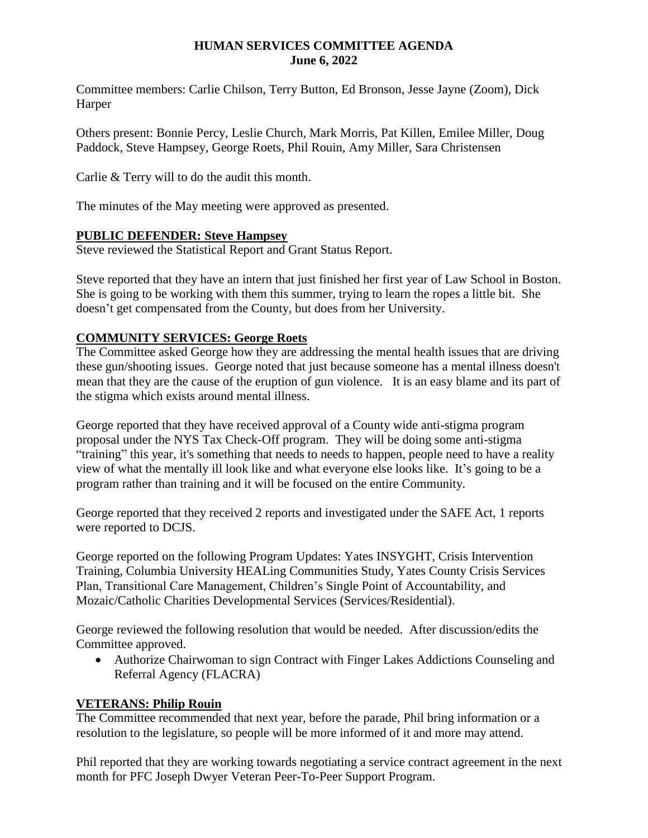#### **HUMAN SERVICES COMMITTEE AGENDA June 6, 2022**

Committee members: Carlie Chilson, Terry Button, Ed Bronson, Jesse Jayne (Zoom), Dick Harper

Others present: Bonnie Percy, Leslie Church, Mark Morris, Pat Killen, Emilee Miller, Doug Paddock, Steve Hampsey, George Roets, Phil Rouin, Amy Miller, Sara Christensen

Carlie & Terry will to do the audit this month.

The minutes of the May meeting were approved as presented.

### **PUBLIC DEFENDER: Steve Hampsey**

Steve reviewed the Statistical Report and Grant Status Report.

Steve reported that they have an intern that just finished her first year of Law School in Boston. She is going to be working with them this summer, trying to learn the ropes a little bit. She doesn't get compensated from the County, but does from her University.

## **COMMUNITY SERVICES: George Roets**

The Committee asked George how they are addressing the mental health issues that are driving these gun/shooting issues. George noted that just because someone has a mental illness doesn't mean that they are the cause of the eruption of gun violence. It is an easy blame and its part of the stigma which exists around mental illness.

George reported that they have received approval of a County wide anti-stigma program proposal under the NYS Tax Check-Off program. They will be doing some anti-stigma "training" this year, it's something that needs to needs to happen, people need to have a reality view of what the mentally ill look like and what everyone else looks like. It's going to be a program rather than training and it will be focused on the entire Community.

George reported that they received 2 reports and investigated under the SAFE Act, 1 reports were reported to DCJS.

George reported on the following Program Updates: Yates INSYGHT, Crisis Intervention Training, Columbia University HEALing Communities Study, Yates County Crisis Services Plan, Transitional Care Management, Children's Single Point of Accountability, and Mozaic/Catholic Charities Developmental Services (Services/Residential).

George reviewed the following resolution that would be needed. After discussion/edits the Committee approved.

 Authorize Chairwoman to sign Contract with Finger Lakes Addictions Counseling and Referral Agency (FLACRA)

## **VETERANS: Philip Rouin**

The Committee recommended that next year, before the parade, Phil bring information or a resolution to the legislature, so people will be more informed of it and more may attend.

Phil reported that they are working towards negotiating a service contract agreement in the next month for PFC Joseph Dwyer Veteran Peer-To-Peer Support Program.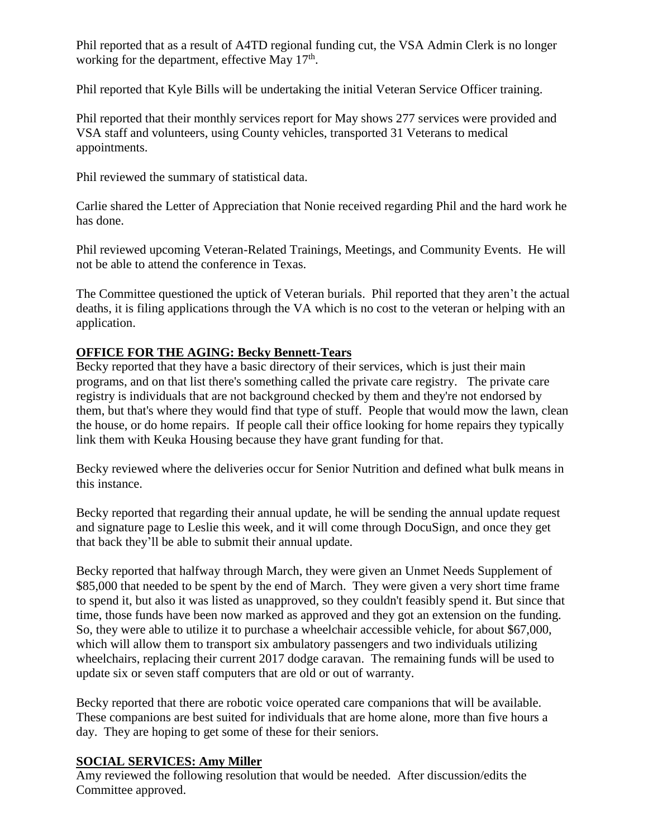Phil reported that as a result of A4TD regional funding cut, the VSA Admin Clerk is no longer working for the department, effective May 17<sup>th</sup>.

Phil reported that Kyle Bills will be undertaking the initial Veteran Service Officer training.

Phil reported that their monthly services report for May shows 277 services were provided and VSA staff and volunteers, using County vehicles, transported 31 Veterans to medical appointments.

Phil reviewed the summary of statistical data.

Carlie shared the Letter of Appreciation that Nonie received regarding Phil and the hard work he has done.

Phil reviewed upcoming Veteran-Related Trainings, Meetings, and Community Events. He will not be able to attend the conference in Texas.

The Committee questioned the uptick of Veteran burials. Phil reported that they aren't the actual deaths, it is filing applications through the VA which is no cost to the veteran or helping with an application.

# **OFFICE FOR THE AGING: Becky Bennett-Tears**

Becky reported that they have a basic directory of their services, which is just their main programs, and on that list there's something called the private care registry. The private care registry is individuals that are not background checked by them and they're not endorsed by them, but that's where they would find that type of stuff. People that would mow the lawn, clean the house, or do home repairs. If people call their office looking for home repairs they typically link them with Keuka Housing because they have grant funding for that.

Becky reviewed where the deliveries occur for Senior Nutrition and defined what bulk means in this instance.

Becky reported that regarding their annual update, he will be sending the annual update request and signature page to Leslie this week, and it will come through DocuSign, and once they get that back they'll be able to submit their annual update.

Becky reported that halfway through March, they were given an Unmet Needs Supplement of \$85,000 that needed to be spent by the end of March. They were given a very short time frame to spend it, but also it was listed as unapproved, so they couldn't feasibly spend it. But since that time, those funds have been now marked as approved and they got an extension on the funding. So, they were able to utilize it to purchase a wheelchair accessible vehicle, for about \$67,000, which will allow them to transport six ambulatory passengers and two individuals utilizing wheelchairs, replacing their current 2017 dodge caravan. The remaining funds will be used to update six or seven staff computers that are old or out of warranty.

Becky reported that there are robotic voice operated care companions that will be available. These companions are best suited for individuals that are home alone, more than five hours a day. They are hoping to get some of these for their seniors.

## **SOCIAL SERVICES: Amy Miller**

Amy reviewed the following resolution that would be needed. After discussion/edits the Committee approved.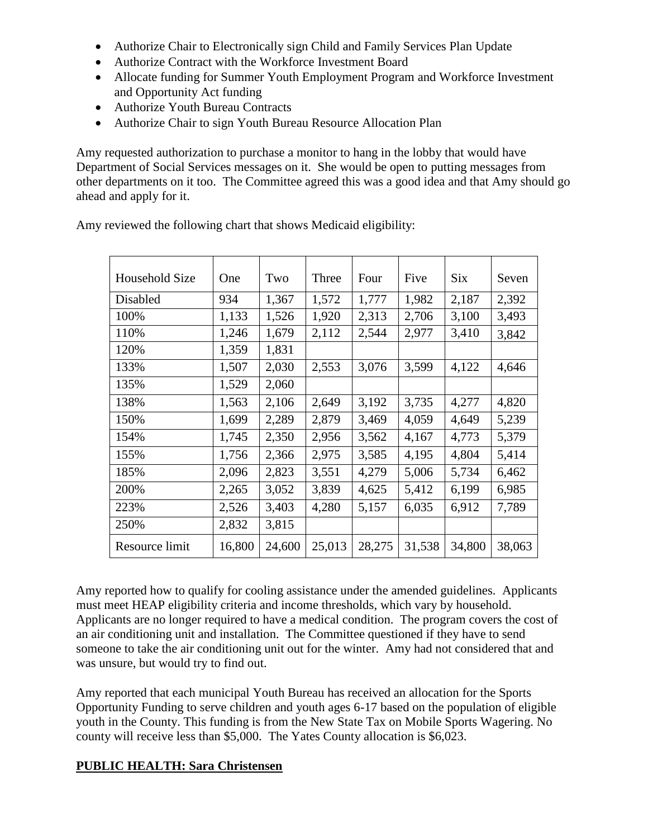- Authorize Chair to Electronically sign Child and Family Services Plan Update
- Authorize Contract with the Workforce Investment Board
- Allocate funding for Summer Youth Employment Program and Workforce Investment and Opportunity Act funding
- Authorize Youth Bureau Contracts
- Authorize Chair to sign Youth Bureau Resource Allocation Plan

Amy requested authorization to purchase a monitor to hang in the lobby that would have Department of Social Services messages on it. She would be open to putting messages from other departments on it too. The Committee agreed this was a good idea and that Amy should go ahead and apply for it.

| Household Size | One    | Two    | Three  | Four   | Five   | <b>Six</b> | Seven  |
|----------------|--------|--------|--------|--------|--------|------------|--------|
| Disabled       | 934    | 1,367  | 1,572  | 1,777  | 1,982  | 2,187      | 2,392  |
| 100%           | 1,133  | 1,526  | 1,920  | 2,313  | 2,706  | 3,100      | 3,493  |
| 110%           | 1,246  | 1,679  | 2,112  | 2,544  | 2,977  | 3,410      | 3,842  |
| 120%           | 1,359  | 1,831  |        |        |        |            |        |
| 133%           | 1,507  | 2,030  | 2,553  | 3,076  | 3,599  | 4,122      | 4,646  |
| 135%           | 1,529  | 2,060  |        |        |        |            |        |
| 138%           | 1,563  | 2,106  | 2,649  | 3,192  | 3,735  | 4,277      | 4,820  |
| 150%           | 1,699  | 2,289  | 2,879  | 3,469  | 4,059  | 4,649      | 5,239  |
| 154%           | 1,745  | 2,350  | 2,956  | 3,562  | 4,167  | 4,773      | 5,379  |
| 155%           | 1,756  | 2,366  | 2,975  | 3,585  | 4,195  | 4,804      | 5,414  |
| 185%           | 2,096  | 2,823  | 3,551  | 4,279  | 5,006  | 5,734      | 6,462  |
| 200%           | 2,265  | 3,052  | 3,839  | 4,625  | 5,412  | 6,199      | 6,985  |
| 223%           | 2,526  | 3,403  | 4,280  | 5,157  | 6,035  | 6,912      | 7,789  |
| 250%           | 2,832  | 3,815  |        |        |        |            |        |
| Resource limit | 16,800 | 24,600 | 25,013 | 28,275 | 31,538 | 34,800     | 38,063 |

Amy reviewed the following chart that shows Medicaid eligibility:

Amy reported how to qualify for cooling assistance under the amended guidelines. Applicants must meet HEAP eligibility criteria and income thresholds, which vary by household. Applicants are no longer required to have a medical condition. The program covers the cost of an air conditioning unit and installation. The Committee questioned if they have to send someone to take the air conditioning unit out for the winter. Amy had not considered that and was unsure, but would try to find out.

Amy reported that each municipal Youth Bureau has received an allocation for the Sports Opportunity Funding to serve children and youth ages 6-17 based on the population of eligible youth in the County. This funding is from the New State Tax on Mobile Sports Wagering. No county will receive less than \$5,000. The Yates County allocation is \$6,023.

### **PUBLIC HEALTH: Sara Christensen**